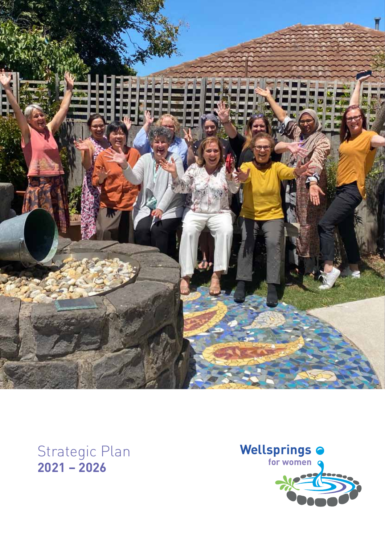

### Strategic Plan **2021 – 2026**

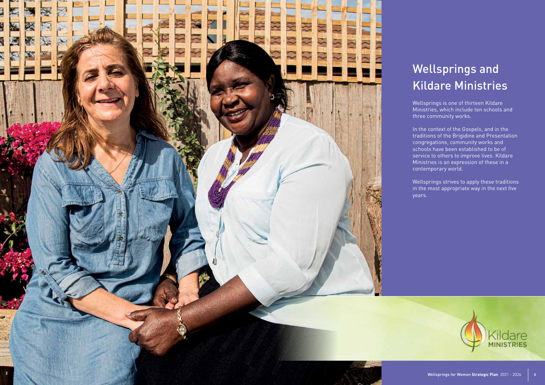# Wellsprings and Kildare Ministries

Wellsprings is one of thirteen Kildare Ministries, which include ten schools and three community works.

In the context of the Gospels, and in the traditions of the Brigidine and Presentation congregations, community works and schools have been established to be of service to others to improve lives. Kildare Ministries is an expression of these in a contemporary world.

Wellsprings strives to apply these traditions in the most appropriate way in the next five years.



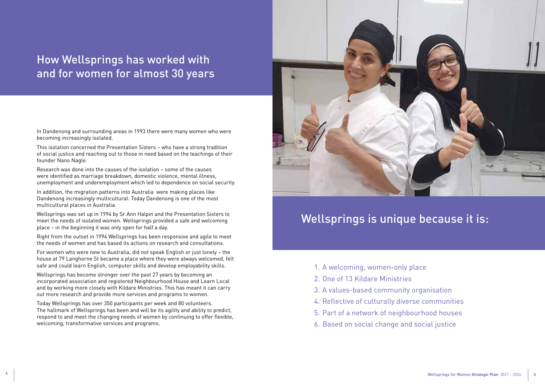## How Wellsprings has worked with and for women for almost 30 years

In Dandenong and surrounding areas in 1993 there were many women who were becoming increasingly isolated.

This isolation concerned the Presentation Sisters – who have a strong tradition of social justice and reaching out to those in need based on the teachings of their founder Nano Nagle.

Research was done into the causes of the isolation – some of the causes were identified as marriage breakdown, domestic violence, mental illness, unemployment and underemployment which led to dependence on social security.

In addition, the migration patterns into Australia were making places like Dandenong increasingly multicultural. Today Dandenong is one of the most multicultural places in Australia.

Wellsprings was set up in 1994 by Sr Ann Halpin and the Presentation Sisters to meet the needs of isolated women. Wellsprings provided a safe and welcoming place – in the beginning it was only open for half a day.

Right from the outset in 1994 Wellsprings has been responsive and agile to meet the needs of women and has based its actions on research and consultations.

For women who were new to Australia, did not speak English or just lonely – the house at 79 Langhorne St became a place where they were always welcomed, felt safe and could learn English, computer skills and develop employability skills.

Wellsprings has become stronger over the past 27 years by becoming an incorporated association and registered Neighbourhood House and Learn Local and by working more closely with Kildare Ministries. This has meant it can carry out more research and provide more services and programs to women.

Today Wellsprings has over 350 participants per week and 80 volunteers. The hallmark of Wellsprings has been and will be its agility and ability to predict, respond to and meet the changing needs of women by continuing to offer flexible, welcoming, transformative services and programs.



- 1. A welcoming, women-only place
- 2. One of 13 Kildare Ministries
- 3. A values-based community organisation
- 4. Reflective of culturally diverse communities
- 5. Part of a network of neighbourhood houses
- 6. Based on social change and social justice

# Wellsprings is unique because it is: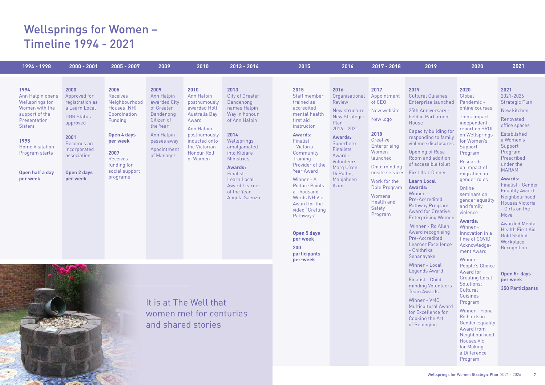# Wellsprings for Women – Timeline 1994 - 2021

 $\geq$ 

### **2019**

### **2019**

25th Anniversary held in Parliament House

Capacity building for responding to family violence disclosures

Opening of Rose Room and addition of accessible toilet

First Iftar Dinner

**Learn Local Awards:** Winner -

Pre-Accredited Pathway Program Award for Creative Enterprising Women

Cultural Cuisines Enterprise launched Pandemic -

 Winner - Ro Allen Award recognising Pre-Accredited Learner Excellence - Chithrika Senanayake

| 1994 - 1998                                                                                                                                                                                          | $2000 - 2001$                                                                                                                                                             | 2005 - 2007                                                                                                                                                                           | 2009                                                                                                                                              | 2010                                                                                                                                                                           | 2013 - 2014                                                                                                                                                                                                                                                                     | 2015                                                                                                                                                                                                                                                                                                                                                                                                        | 2016                                                                                                                                                                                                                             | 2017 - 2018                                                                                                                                                                                                                               |  |
|------------------------------------------------------------------------------------------------------------------------------------------------------------------------------------------------------|---------------------------------------------------------------------------------------------------------------------------------------------------------------------------|---------------------------------------------------------------------------------------------------------------------------------------------------------------------------------------|---------------------------------------------------------------------------------------------------------------------------------------------------|--------------------------------------------------------------------------------------------------------------------------------------------------------------------------------|---------------------------------------------------------------------------------------------------------------------------------------------------------------------------------------------------------------------------------------------------------------------------------|-------------------------------------------------------------------------------------------------------------------------------------------------------------------------------------------------------------------------------------------------------------------------------------------------------------------------------------------------------------------------------------------------------------|----------------------------------------------------------------------------------------------------------------------------------------------------------------------------------------------------------------------------------|-------------------------------------------------------------------------------------------------------------------------------------------------------------------------------------------------------------------------------------------|--|
| 1994<br>Ann Halpin opens<br>Wellsprings for<br>Women with the<br>support of the<br>Presentation<br><b>Sisters</b><br>1995<br><b>Home Visitation</b><br>Program starts<br>Open half a day<br>per week | 2000<br>Approved for<br>registration as<br>a Learn Local<br><b>DGR Status</b><br>approved<br>2001<br>Becomes an<br>incorporated<br>association<br>Open 2 days<br>per week | 2005<br><b>Receives</b><br>Neighbourhood<br>Houses (NH)<br>Coordination<br>Funding<br>Open 4 days<br>per week<br>2007<br><b>Receives</b><br>funding for<br>social support<br>programs | 2009<br>Ann Halpin<br>awarded City<br>of Greater<br>Dandenong<br>Citizen of<br>the Year<br>Ann Halpin<br>passes away<br>Appointment<br>of Manager | 2010<br>Ann Halpin<br>posthumously<br>awarded Holt<br>Australia Day<br>Award<br>Ann Halpin<br>posthumously<br>inducted onto<br>the Victorian<br><b>Honour Roll</b><br>of Women | 2013<br><b>City of Greater</b><br>Dandenong<br>names Halpin<br>Way in honour<br>of Ann Halpin<br>2014<br>Wellsprings<br>amalgamated<br>into Kildare<br><b>Ministries</b><br><b>Awards:</b><br>Finalist -<br>Learn Local<br><b>Award Learner</b><br>of the Year<br>Angela Saenzh | 2015<br>Staff member<br>trained as<br>accredited<br>mental health<br>first aid<br>instructor<br><b>Awards:</b><br>Finalist<br>- Victoria<br>Community<br><b>Training</b><br>Provider of the<br><b>Year Award</b><br>Winner - A<br><b>Picture Paints</b><br>a Thousand<br><b>Words NH Vic</b><br>Award for the<br>video "Crafting<br>Pathways"<br>Open 5 days<br>per week<br>200<br>participants<br>per-week | 2016<br>Organisational<br>Review<br>New structure<br><b>New Strategic</b><br>Plan<br>$2016 - 2021$<br><b>Awards:</b><br>Superhero<br><b>Finalists</b><br>Award -<br>Volunteers<br>Marg U'ren,<br>Di Pullin,<br>Mahjabeen<br>Azim | 2017<br>Appointment<br>of CEO<br>New website<br>New logo<br>2018<br>Creative<br>Enterprising<br>Women<br>launched<br>Child minding<br>onsite services<br>Work for the<br>Dole Program<br>Womens<br><b>Health and</b><br>Safety<br>Program |  |
| It is at The Well that<br>women met for centuries<br>and shared stories                                                                                                                              |                                                                                                                                                                           |                                                                                                                                                                                       |                                                                                                                                                   |                                                                                                                                                                                |                                                                                                                                                                                                                                                                                 |                                                                                                                                                                                                                                                                                                                                                                                                             |                                                                                                                                                                                                                                  |                                                                                                                                                                                                                                           |  |

Winner - Local Legends Award

Finalist - Child minding Volunteers Team Awards

Winner - VMC Multicultural Award for Excellence for Cooking the Art of Belonging

### **2020**

**2020**  Global online courses

Think Impact independent report on SROI on Wellsprings for Women's Support Program

Research on impact of migration on gender roles

Online seminars on gender equality and family violence

### **Awards:**

Winner - Innovation in a time of COVID Acknowledgement Award

Winner - People's Choice Award for Creating Local Solutions: **Cultural Cuisines** Program

Winner - Fiona Richardson Gender Equality Award from Neighbourhood Houses Vic for Making a Difference Program

### **2021**

**2021**  2021-2026 Strategic Plan

New kitchen

Renovated office spaces

Established a Women's Support Program Prescribed under the MARAM

**Awards:**

Finalist - Gender Equality Award Neighbourhood Houses Victoria - Girls on the Move

Awarded Mental Health First Aid Gold Skilled **Workplace** Recognition

**Open 5+ days per week 350 Participants**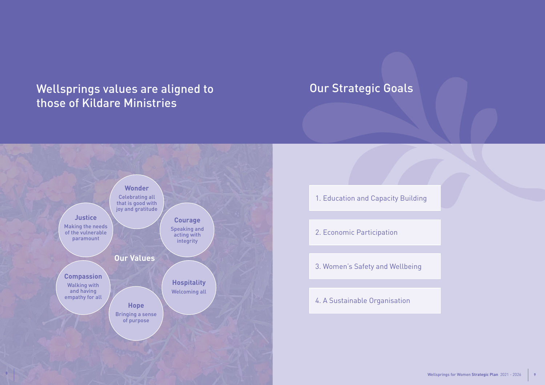



# Wellsprings values are aligned to those of Kildare Ministries

# Our Strategic Goals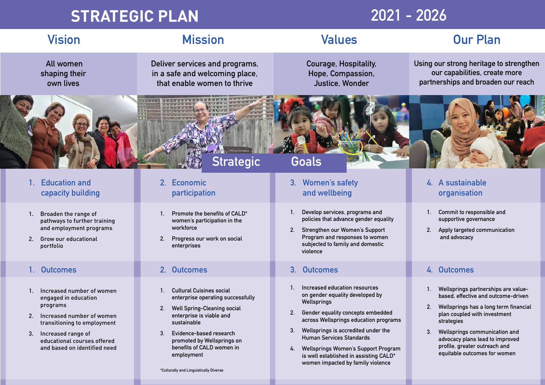- 1. Broaden the range of pathways to further training and employment programs
- 2. Grow our educational portfolio

- **1. Promote the benefits of CALD\* women's participation in the workforce**
- **2. Progress our work on social enterprises**

- **1. Develop services, programs and policies that advance gender equality**
- **2. Strengthen our Women's Support Program and responses to women subjected to family and domestic violence**
- **1. Commit to responsible and supportive governance**
- **2. Apply targeted communication and advocacy**

# **Vision Mission Values Our Plan**

 **All women shaping their own lives**

**Courage, Hospitality, Hope, Compassion, Justice, Wonder** 

**Deliver services and programs, in a safe and welcoming place, that enable women to thrive**

**Using our strong heritage to strengthen our capabilities, create more partnerships and broaden our reach**



# **STRATEGIC PLAN 2021 - 2026**

### **1. Education and capacity building**

### **2. Economic participation**

### **3. Women's safety and wellbeing**

### **4. A sustainable organisation**

**Strategic Goals**

### **1. Outcomes 2. Outcomes 3. Outcomes 4. Outcomes**

- 1. Increased number of women engaged in education programs
- 2. Increased number of women transitioning to employment
- 3. Increased range of educational courses offered and based on identified need
- **1. Cultural Cuisines social enterprise operating successfully**
- **2. Well Spring-Cleaning social enterprise is viable and sustainable**
- **3. Evidence-based research promoted by Wellsprings on benefits of CALD women in employment**
- **1. Increased education resources on gender equality developed by Wellsprings**
- **2. Gender equality concepts embedded across Wellsprings education programs**
- **3. Wellsprings is accredited under the Human Services Standards**
- **4. Wellsprings Women's Support Program is well established in assisting CALD\* women impacted by family violence**

- **1. Wellsprings partnerships are valuebased, effective and outcome-driven**
- **2. Wellsprings has a long term financial plan coupled with investment strategies**
- **3. Wellsprings communication and advocacy plans lead to improved profile, greater outreach and equitable outcomes for women**